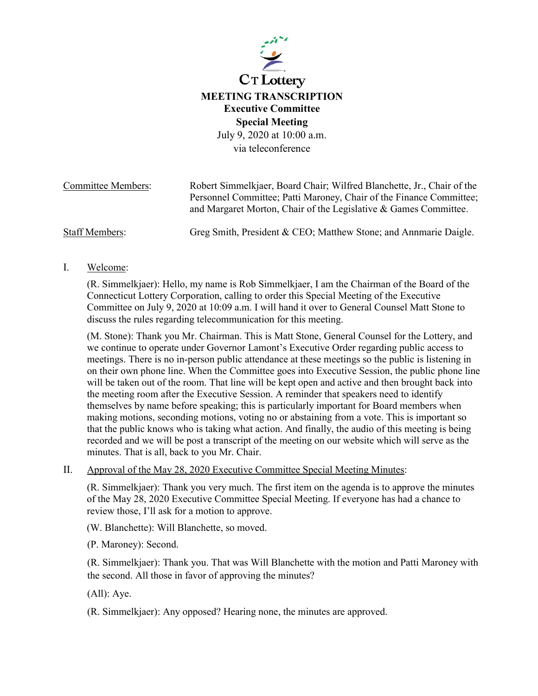

July 9, 2020 at 10:00 a.m. via teleconference

| <b>Committee Members:</b> | Robert Simmelkjaer, Board Chair; Wilfred Blanchette, Jr., Chair of the                                                                  |
|---------------------------|-----------------------------------------------------------------------------------------------------------------------------------------|
|                           | Personnel Committee; Patti Maroney, Chair of the Finance Committee;<br>and Margaret Morton, Chair of the Legislative & Games Committee. |
| <b>Staff Members:</b>     | Greg Smith, President & CEO; Matthew Stone; and Annmarie Daigle.                                                                        |

I. Welcome:

(R. Simmelkjaer): Hello, my name is Rob Simmelkjaer, I am the Chairman of the Board of the Connecticut Lottery Corporation, calling to order this Special Meeting of the Executive Committee on July 9, 2020 at 10:09 a.m. I will hand it over to General Counsel Matt Stone to discuss the rules regarding telecommunication for this meeting.

(M. Stone): Thank you Mr. Chairman. This is Matt Stone, General Counsel for the Lottery, and we continue to operate under Governor Lamont's Executive Order regarding public access to meetings. There is no in-person public attendance at these meetings so the public is listening in on their own phone line. When the Committee goes into Executive Session, the public phone line will be taken out of the room. That line will be kept open and active and then brought back into the meeting room after the Executive Session. A reminder that speakers need to identify themselves by name before speaking; this is particularly important for Board members when making motions, seconding motions, voting no or abstaining from a vote. This is important so that the public knows who is taking what action. And finally, the audio of this meeting is being recorded and we will be post a transcript of the meeting on our website which will serve as the minutes. That is all, back to you Mr. Chair.

II. Approval of the May 28, 2020 Executive Committee Special Meeting Minutes:

(R. Simmelkjaer): Thank you very much. The first item on the agenda is to approve the minutes of the May 28, 2020 Executive Committee Special Meeting. If everyone has had a chance to review those, I'll ask for a motion to approve.

(W. Blanchette): Will Blanchette, so moved.

(P. Maroney): Second.

(R. Simmelkjaer): Thank you. That was Will Blanchette with the motion and Patti Maroney with the second. All those in favor of approving the minutes?

(All): Aye.

(R. Simmelkjaer): Any opposed? Hearing none, the minutes are approved.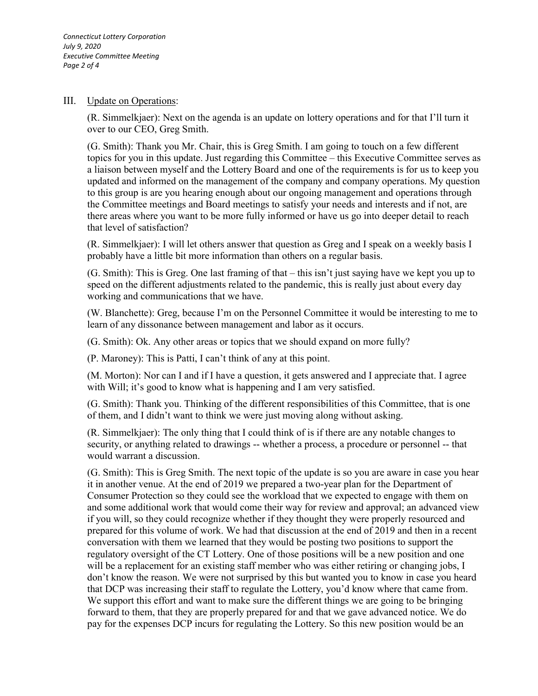*Connecticut Lottery Corporation July 9, 2020 Executive Committee Meeting Page 2 of 4*

## III. Update on Operations:

(R. Simmelkjaer): Next on the agenda is an update on lottery operations and for that I'll turn it over to our CEO, Greg Smith.

(G. Smith): Thank you Mr. Chair, this is Greg Smith. I am going to touch on a few different topics for you in this update. Just regarding this Committee – this Executive Committee serves as a liaison between myself and the Lottery Board and one of the requirements is for us to keep you updated and informed on the management of the company and company operations. My question to this group is are you hearing enough about our ongoing management and operations through the Committee meetings and Board meetings to satisfy your needs and interests and if not, are there areas where you want to be more fully informed or have us go into deeper detail to reach that level of satisfaction?

(R. Simmelkjaer): I will let others answer that question as Greg and I speak on a weekly basis I probably have a little bit more information than others on a regular basis.

(G. Smith): This is Greg. One last framing of that – this isn't just saying have we kept you up to speed on the different adjustments related to the pandemic, this is really just about every day working and communications that we have.

(W. Blanchette): Greg, because I'm on the Personnel Committee it would be interesting to me to learn of any dissonance between management and labor as it occurs.

(G. Smith): Ok. Any other areas or topics that we should expand on more fully?

(P. Maroney): This is Patti, I can't think of any at this point.

(M. Morton): Nor can I and if I have a question, it gets answered and I appreciate that. I agree with Will; it's good to know what is happening and I am very satisfied.

(G. Smith): Thank you. Thinking of the different responsibilities of this Committee, that is one of them, and I didn't want to think we were just moving along without asking.

(R. Simmelkjaer): The only thing that I could think of is if there are any notable changes to security, or anything related to drawings -- whether a process, a procedure or personnel -- that would warrant a discussion.

(G. Smith): This is Greg Smith. The next topic of the update is so you are aware in case you hear it in another venue. At the end of 2019 we prepared a two-year plan for the Department of Consumer Protection so they could see the workload that we expected to engage with them on and some additional work that would come their way for review and approval; an advanced view if you will, so they could recognize whether if they thought they were properly resourced and prepared for this volume of work. We had that discussion at the end of 2019 and then in a recent conversation with them we learned that they would be posting two positions to support the regulatory oversight of the CT Lottery. One of those positions will be a new position and one will be a replacement for an existing staff member who was either retiring or changing jobs, I don't know the reason. We were not surprised by this but wanted you to know in case you heard that DCP was increasing their staff to regulate the Lottery, you'd know where that came from. We support this effort and want to make sure the different things we are going to be bringing forward to them, that they are properly prepared for and that we gave advanced notice. We do pay for the expenses DCP incurs for regulating the Lottery. So this new position would be an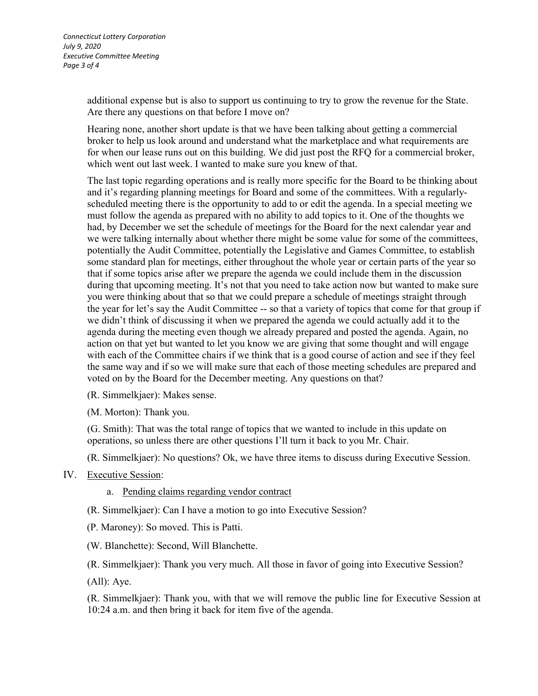additional expense but is also to support us continuing to try to grow the revenue for the State. Are there any questions on that before I move on?

Hearing none, another short update is that we have been talking about getting a commercial broker to help us look around and understand what the marketplace and what requirements are for when our lease runs out on this building. We did just post the RFQ for a commercial broker, which went out last week. I wanted to make sure you knew of that.

The last topic regarding operations and is really more specific for the Board to be thinking about and it's regarding planning meetings for Board and some of the committees. With a regularlyscheduled meeting there is the opportunity to add to or edit the agenda. In a special meeting we must follow the agenda as prepared with no ability to add topics to it. One of the thoughts we had, by December we set the schedule of meetings for the Board for the next calendar year and we were talking internally about whether there might be some value for some of the committees, potentially the Audit Committee, potentially the Legislative and Games Committee, to establish some standard plan for meetings, either throughout the whole year or certain parts of the year so that if some topics arise after we prepare the agenda we could include them in the discussion during that upcoming meeting. It's not that you need to take action now but wanted to make sure you were thinking about that so that we could prepare a schedule of meetings straight through the year for let's say the Audit Committee -- so that a variety of topics that come for that group if we didn't think of discussing it when we prepared the agenda we could actually add it to the agenda during the meeting even though we already prepared and posted the agenda. Again, no action on that yet but wanted to let you know we are giving that some thought and will engage with each of the Committee chairs if we think that is a good course of action and see if they feel the same way and if so we will make sure that each of those meeting schedules are prepared and voted on by the Board for the December meeting. Any questions on that?

(R. Simmelkjaer): Makes sense.

(M. Morton): Thank you.

(G. Smith): That was the total range of topics that we wanted to include in this update on operations, so unless there are other questions I'll turn it back to you Mr. Chair.

(R. Simmelkjaer): No questions? Ok, we have three items to discuss during Executive Session.

## IV. Executive Session:

a. Pending claims regarding vendor contract

(R. Simmelkjaer): Can I have a motion to go into Executive Session?

(P. Maroney): So moved. This is Patti.

(W. Blanchette): Second, Will Blanchette.

(R. Simmelkjaer): Thank you very much. All those in favor of going into Executive Session?

(All): Aye.

(R. Simmelkjaer): Thank you, with that we will remove the public line for Executive Session at 10:24 a.m. and then bring it back for item five of the agenda.